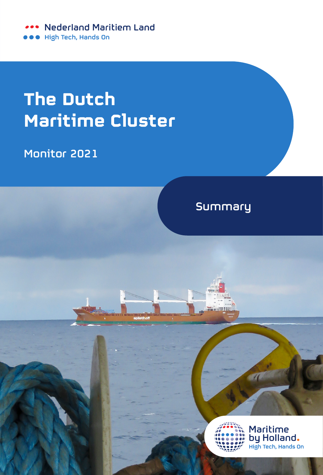**Nederland Maritiem Land** High Tech, Hands On

## **The Dutch Maritime Cluster**

Monitor 2021

## **Summary**



Maritime by Holland. High Tech, Hands On

 $\overline{u}$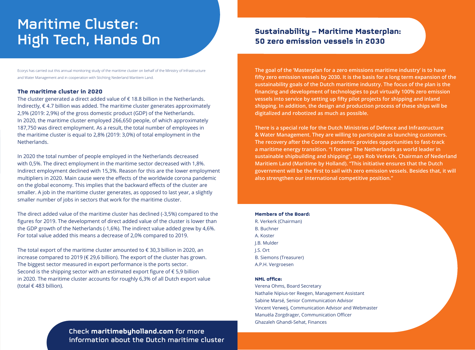# Maritime Cluster: High Tech, Hands On

Ecorys has carried out this annual monitoring study of the maritime cluster on behalf of the Ministry of Infrastructure and Water Management and in cooperation with Stichting Nederland Maritiem Land.

#### **The maritime cluster in 2020**

The cluster generated a direct added value of  $\epsilon$  18.8 billion in the Netherlands. Indirectly,  $\epsilon$  4.7 billion was added. The maritime cluster generates approximately 2,9% (2019: 2,9%) of the gross domestic product (GDP) of the Netherlands. In 2020, the maritime cluster employed 266,650 people, of which approximately 187,750 was direct employment. As a result, the total number of employees in the maritime cluster is equal to 2,8% (2019: 3,0%) of total employment in the Netherlands.

In 2020 the total number of people employed in the Netherlands decreased with 0,5%. The direct employment in the maritime sector decreased with 1,8%. Indirect employment declined with 15,3%. Reason for this are the lower employment multipliers in 2020. Main cause were the effects of the worldwide corona pandemic on the global economy. This implies that the backward effects of the cluster are smaller. A job in the maritime cluster generates, as opposed to last year, a slightly smaller number of jobs in sectors that work for the maritime cluster.

The direct added value of the maritime cluster has declined (-3,5%) compared to the figures for 2019. The development of direct added value of the cluster is lower than the GDP growth of the Netherlands (-1,6%). The indirect value added grew by 4,6%. For total value added this means a decrease of 2,0% compared to 2019.

The total export of the maritime cluster amounted to  $\epsilon$  30,3 billion in 2020, an increase compared to 2019 (€ 29,6 billion). The export of the cluster has grown. The biggest sector measured in export performance is the ports sector. Second is the shipping sector with an estimated export figure of  $\epsilon$  5,9 billion in 2020. The maritime cluster accounts for roughly 6,3% of all Dutch export value (total € 483 billion).

### **Sustainability – Maritime Masterplan: 50 zero emission vessels in 2030**

**The goal of the 'Masterplan for a zero emissions maritime industry' is to have fifty zero emission vessels by 2030. It is the basis for a long term expansion of the sustainability goals of the Dutch maritime industry. The focus of the plan is the financing and development of technologies to put virtually 100% zero emission vessels into service by setting up fifty pilot projects for shipping and inland shipping. In addition, the design and production process of these ships will be digitalized and robotized as much as possible.**

**There is a special role for the Dutch Ministries of Defence and Infrastructure & Water Management. They are willing to participate as launching customers. The recovery after the Corona pandemic provides opportunities to fast-track a maritime energy transition. "I foresee The Netherlands as world leader in sustainable shipbuilding and shipping", says Rob Verkerk, Chairman of Nederland Maritiem Land (Maritime by Holland). "This initiative ensures that the Dutch government will be the first to sail with zero emission vessels. Besides that, it will also strengthen our international competitive position."**

#### **Members of the Board:**

R. Verkerk (Chairman) B. Buchner A. Koster J.B. Mulder J.S. Ort B. Siemons (Treasurer) A.P.H. Vergroesen

#### **NML office:**

Verena Ohms, Board Secretary Nathalie Nipius-ter Reegen, Management Assistant Sabine Marsé, Senior Communication Advisor Vincent Verweij, Communication Advisor and Webmaster Manuëla Zorgdrager, Communication Officer Ghazaleh Ghandi-Sehat, Finances

Check **maritimebyholland.com** for more information about the Dutch maritime cluster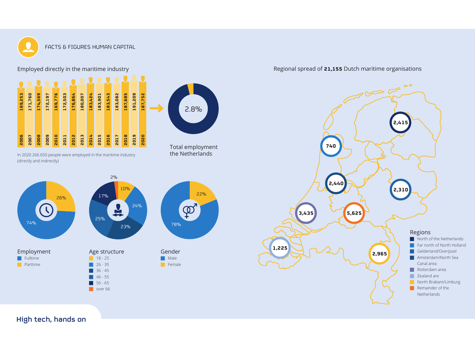

FACTS & FIGURES HUMAN CAPITAL

Employed directly in the maritime industry



In 2020 266.650 people were employed in the maritime industry (directly and indirectly)





Regional spread of **21,155** Dutch maritime organisations



High tech, hands on maritiemehavenenhavenenhavenenhavenenhavenen binnenhavenmonitor.nl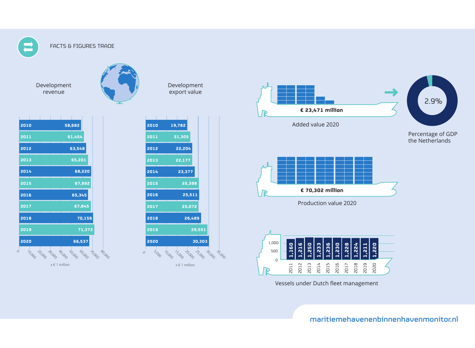

#### FACTS & FIGURES TRADE

Development revenue

| 2010        |                  | 58,682                  |        |                  |  |
|-------------|------------------|-------------------------|--------|------------------|--|
| 2011        |                  | 61,454                  |        |                  |  |
| 2012        |                  | 63,548                  |        |                  |  |
| 2013        |                  | 65,201                  |        |                  |  |
| 2014        |                  |                         | 68,220 |                  |  |
| 2015        |                  |                         | 67,992 |                  |  |
| 2016        |                  | 65,345                  |        |                  |  |
| 2017        |                  |                         | 67,845 |                  |  |
| 2018        |                  |                         | 70,156 |                  |  |
| 2019        |                  |                         | 71,372 |                  |  |
| 2020        |                  | 66,537                  |        |                  |  |
| 10,000<br>0 | 30,000<br>20,000 | <b>SO.000</b><br>40,000 | 60,000 | 20,000<br>80,000 |  |

 $x \in 1$  million  $x \in 1$  million



Development export value

|   | 2010 |       |        | 19,782 |        |        |        |        |
|---|------|-------|--------|--------|--------|--------|--------|--------|
|   | 2011 |       |        | 21,305 |        |        |        |        |
|   | 2012 |       |        | 22,204 |        |        |        |        |
|   | 2013 |       |        | 22,177 |        |        |        |        |
|   | 2014 |       |        | 23,377 |        |        |        |        |
|   | 2015 |       |        |        | 25,398 |        |        |        |
|   | 2016 |       |        |        | 25,511 |        |        |        |
|   | 2017 |       |        |        | 25,072 |        |        |        |
|   | 2018 |       |        |        | 26,489 |        |        |        |
|   | 2019 |       |        |        |        | 29,551 |        |        |
|   | 2020 |       |        |        |        | 30,303 |        |        |
| Ω |      | S.OOO | 10,000 | 15.000 | 20,000 | 25.000 | 30,000 | 35,000 |



Vessels under Dutch fleet management

High tech, hands on maritiemehavenenbinnenhavenmonitor.nl